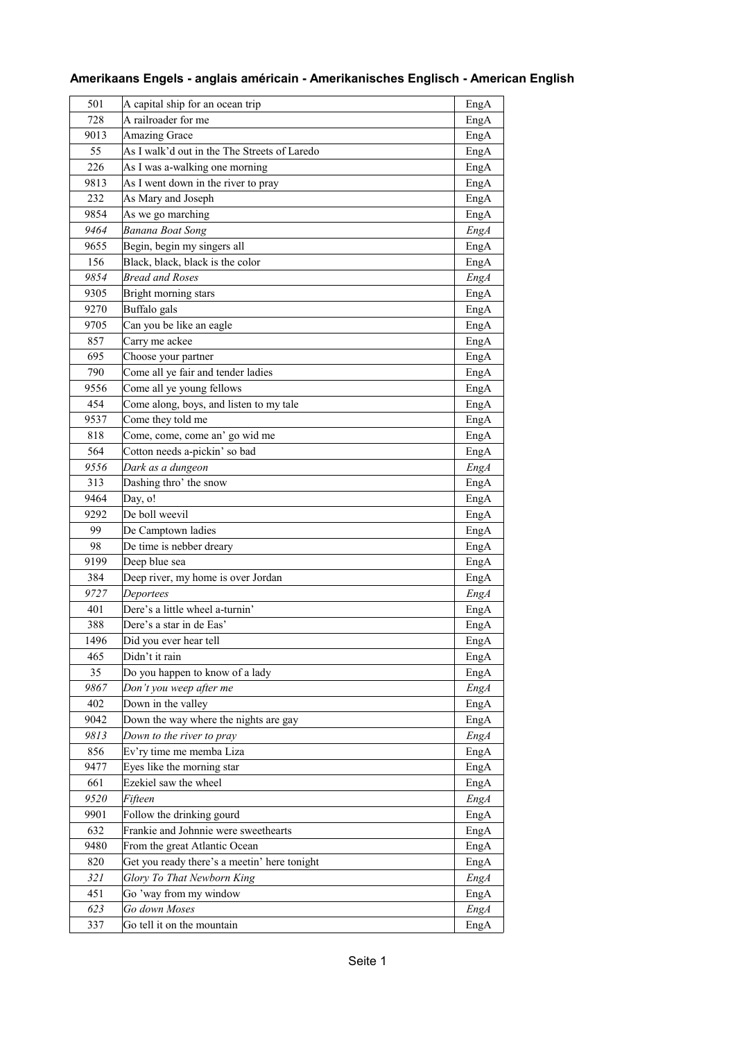| 501  | A capital ship for an ocean trip             | EngA        |
|------|----------------------------------------------|-------------|
| 728  | A railroader for me                          | EngA        |
| 9013 | Amazing Grace                                | EngA        |
| 55   | As I walk'd out in the The Streets of Laredo | EngA        |
| 226  | As I was a-walking one morning               | EngA        |
| 9813 | As I went down in the river to pray          | EngA        |
| 232  | As Mary and Joseph                           | EngA        |
| 9854 | As we go marching                            | EngA        |
| 9464 | <b>Banana Boat Song</b>                      | EngA        |
| 9655 | Begin, begin my singers all                  | EngA        |
| 156  | Black, black, black is the color             | EngA        |
| 9854 | <b>Bread and Roses</b>                       | <b>EngA</b> |
| 9305 | Bright morning stars                         | EngA        |
| 9270 | Buffalo gals                                 | EngA        |
| 9705 | Can you be like an eagle                     | EngA        |
|      | Carry me ackee                               |             |
| 857  |                                              | EngA        |
| 695  | Choose your partner                          | EngA        |
| 790  | Come all ye fair and tender ladies           | EngA        |
| 9556 | Come all ye young fellows                    | EngA        |
| 454  | Come along, boys, and listen to my tale      | EngA        |
| 9537 | Come they told me                            | EngA        |
| 818  | Come, come, come an' go wid me               | EngA        |
| 564  | Cotton needs a-pickin' so bad                | EngA        |
| 9556 | Dark as a dungeon                            | EngA        |
| 313  | Dashing thro' the snow                       | EngA        |
| 9464 | Day, o!                                      | EngA        |
| 9292 | De boll weevil                               | EngA        |
| 99   | De Camptown ladies                           | EngA        |
| 98   | De time is nebber dreary                     | EngA        |
| 9199 | Deep blue sea                                | EngA        |
| 384  | Deep river, my home is over Jordan           | EngA        |
| 9727 | Deportees                                    | EngA        |
| 401  | Dere's a little wheel a-turnin'              | EngA        |
| 388  | Dere's a star in de Eas'                     | EngA        |
| 1496 | Did you ever hear tell                       | EngA        |
| 465  | Didn't it rain                               | EngA        |
| 35   | Do you happen to know of a lady              | EngA        |
| 9867 | Don't you weep after me                      | <b>EngA</b> |
| 402  | Down in the valley                           | EngA        |
| 9042 | Down the way where the nights are gay        | EngA        |
| 9813 | Down to the river to pray                    | Eng A       |
| 856  | Ev'ry time me memba Liza                     | EngA        |
| 9477 | Eyes like the morning star                   | EngA        |
| 661  | Ezekiel saw the wheel                        | EngA        |
| 9520 | Fifteen                                      | <b>EngA</b> |
| 9901 | Follow the drinking gourd                    | EngA        |
| 632  | Frankie and Johnnie were sweethearts         | EngA        |
| 9480 | From the great Atlantic Ocean                | EngA        |
| 820  | Get you ready there's a meetin' here tonight | EngA        |
| 321  | Glory To That Newborn King                   | <b>EngA</b> |
| 451  | Go 'way from my window                       | EngA        |
| 623  | Go down Moses                                | <b>EngA</b> |
| 337  | Go tell it on the mountain                   | EngA        |
|      |                                              |             |

## **Amerikaans Engels - anglais américain - Amerikanisches Englisch - American English**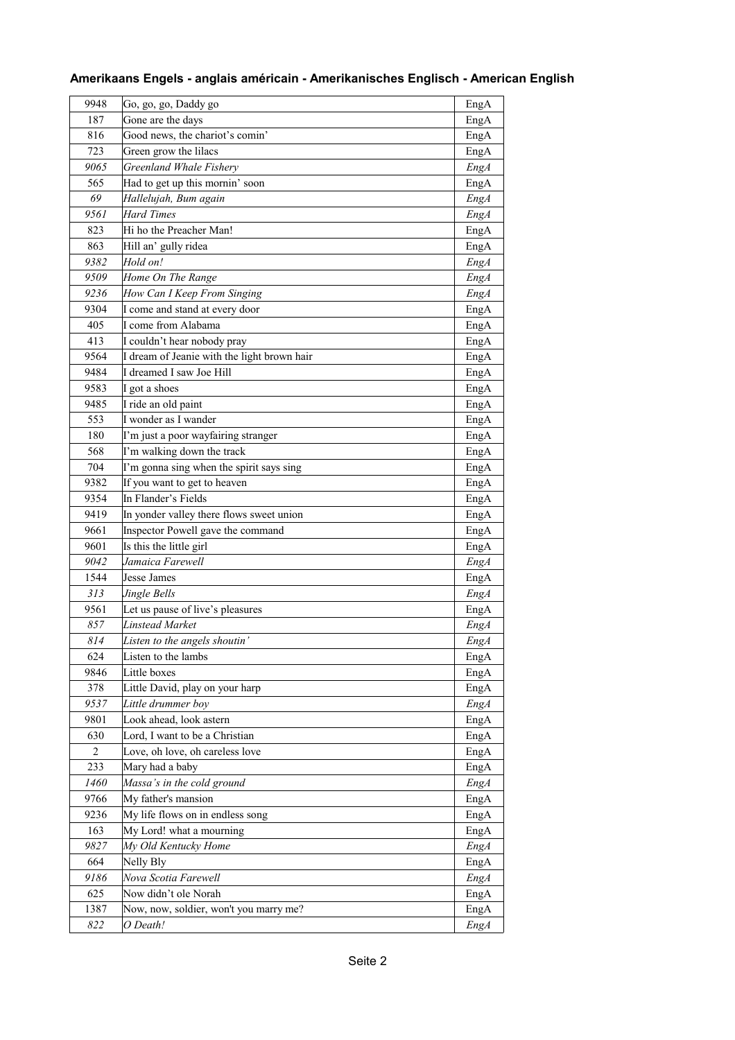|  | Amerikaans Engels - anglais américain - Amerikanisches Englisch - American English |  |
|--|------------------------------------------------------------------------------------|--|
|  |                                                                                    |  |

| 9948 | Go, go, go, Daddy go                        | EngA        |
|------|---------------------------------------------|-------------|
| 187  | Gone are the days                           | EngA        |
| 816  | Good news, the chariot's comin'             | EngA        |
| 723  | Green grow the lilacs                       | EngA        |
| 9065 | Greenland Whale Fishery                     | <b>EngA</b> |
| 565  | Had to get up this mornin' soon             | EngA        |
| 69   | Hallelujah, Bum again                       | <b>EngA</b> |
| 9561 | <b>Hard Times</b>                           | <b>EngA</b> |
| 823  | Hi ho the Preacher Man!                     | EngA        |
| 863  | Hill an' gully ridea                        | EngA        |
| 9382 | Hold on!                                    | EngA        |
| 9509 | Home On The Range                           | EngA        |
| 9236 | How Can I Keep From Singing                 | <b>EngA</b> |
| 9304 | I come and stand at every door              | EngA        |
| 405  | I come from Alabama                         | EngA        |
| 413  | I couldn't hear nobody pray                 | EngA        |
| 9564 | I dream of Jeanie with the light brown hair | EngA        |
| 9484 | I dreamed I saw Joe Hill                    | EngA        |
| 9583 | I got a shoes                               | EngA        |
| 9485 | I ride an old paint                         | EngA        |
| 553  | I wonder as I wander                        | EngA        |
| 180  | I'm just a poor wayfairing stranger         | EngA        |
| 568  | I'm walking down the track                  | EngA        |
| 704  | I'm gonna sing when the spirit says sing    | EngA        |
| 9382 | If you want to get to heaven                | EngA        |
| 9354 | In Flander's Fields                         | EngA        |
| 9419 | In yonder valley there flows sweet union    | EngA        |
| 9661 | Inspector Powell gave the command           | EngA        |
| 9601 | Is this the little girl                     | EngA        |
| 9042 | Jamaica Farewell                            | <b>EngA</b> |
| 1544 | Jesse James                                 | EngA        |
| 313  | Jingle Bells                                | EngA        |
| 9561 | Let us pause of live's pleasures            | EngA        |
| 857  | Linstead Market                             | EngA        |
| 814  | Listen to the angels shoutin'               | EngA        |
| 624  | Listen to the lambs                         | EngA        |
| 9846 | Little boxes                                | EngA        |
| 378  | Little David, play on your harp             | EngA        |
| 9537 | Little drummer boy                          | <b>EngA</b> |
| 9801 | Look ahead, look astern                     | EngA        |
| 630  | Lord, I want to be a Christian              | EngA        |
| 2    | Love, oh love, oh careless love             | EngA        |
| 233  | Mary had a baby                             | EngA        |
| 1460 | Massa's in the cold ground                  | <b>EngA</b> |
| 9766 | My father's mansion                         | EngA        |
| 9236 | My life flows on in endless song            | EngA        |
| 163  | My Lord! what a mourning                    | EngA        |
| 9827 | My Old Kentucky Home                        | <b>EngA</b> |
| 664  | Nelly Bly                                   | EngA        |
| 9186 | Nova Scotia Farewell                        | <b>EngA</b> |
| 625  | Now didn't ole Norah                        | EngA        |
| 1387 | Now, now, soldier, won't you marry me?      | EngA        |
| 822  | O Death!                                    | EngA        |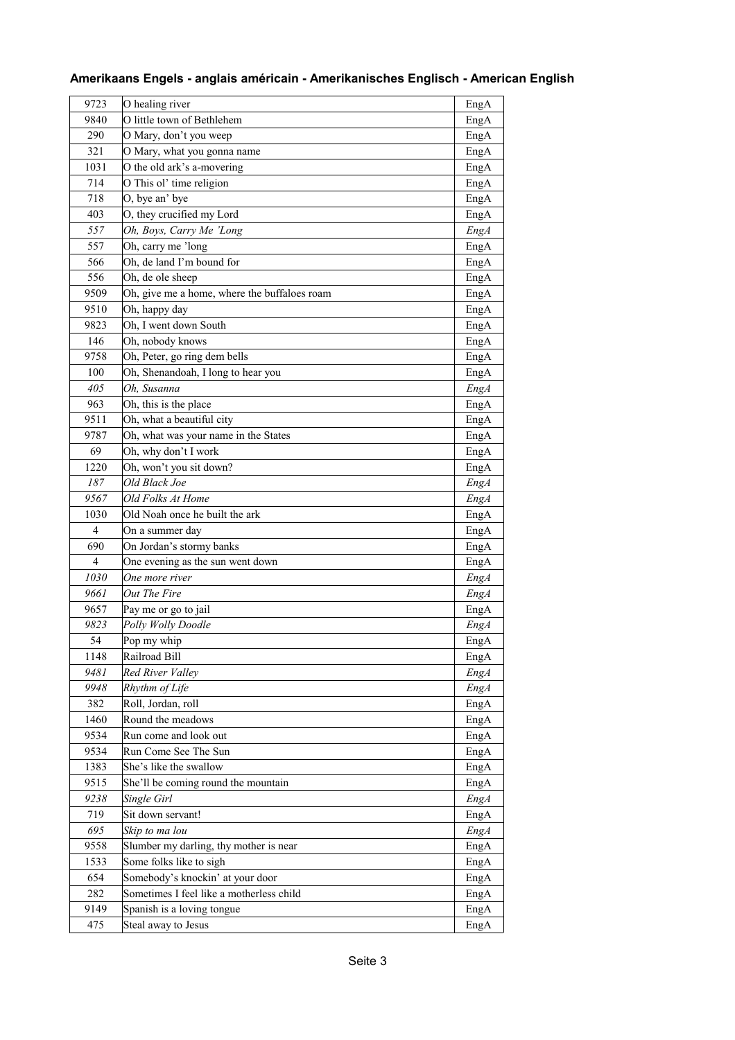| 9723           | O healing river                                                              | EngA        |
|----------------|------------------------------------------------------------------------------|-------------|
| 9840           | O little town of Bethlehem                                                   | EngA        |
| 290            | O Mary, don't you weep                                                       | EngA        |
| 321            | O Mary, what you gonna name                                                  | EngA        |
| 1031           | O the old ark's a-movering                                                   | EngA        |
| 714            | O This ol' time religion                                                     | EngA        |
| 718            | O, bye an' bye                                                               | EngA        |
| 403            | O, they crucified my Lord                                                    | EngA        |
| 557            | Oh, Boys, Carry Me 'Long                                                     | EngA        |
| 557            | Oh, carry me 'long                                                           | EngA        |
| 566            | Oh, de land I'm bound for                                                    | EngA        |
| 556            | Oh, de ole sheep                                                             | EngA        |
| 9509           | Oh, give me a home, where the buffaloes roam                                 | EngA        |
| 9510           | Oh, happy day                                                                | EngA        |
| 9823           | Oh, I went down South                                                        | EngA        |
| 146            | Oh, nobody knows                                                             | EngA        |
| 9758           | Oh, Peter, go ring dem bells                                                 | EngA        |
| 100            | Oh, Shenandoah, I long to hear you                                           | EngA        |
| 405            | Oh, Susanna                                                                  | <b>EngA</b> |
| 963            | Oh, this is the place                                                        | EngA        |
| 9511           | Oh, what a beautiful city                                                    | EngA        |
| 9787           | Oh, what was your name in the States                                         | EngA        |
| 69             | Oh, why don't I work                                                         | EngA        |
| 1220           | Oh, won't you sit down?                                                      | EngA        |
| 187            | Old Black Joe                                                                | EngA        |
| 9567           | Old Folks At Home                                                            | EngA        |
| 1030           | Old Noah once he built the ark                                               | EngA        |
| 4              | On a summer day                                                              | EngA        |
| 690            | On Jordan's stormy banks                                                     | EngA        |
| $\overline{4}$ | One evening as the sun went down                                             | EngA        |
| 1030           | One more river                                                               | <b>EngA</b> |
| 9661           | Out The Fire                                                                 | EngA        |
| 9657           | Pay me or go to jail                                                         | EngA        |
| 9823           | Polly Wolly Doodle                                                           | EngA        |
| 54             | Pop my whip                                                                  | EngA        |
| 1148           | Railroad Bill                                                                | EngA        |
| 9481           | Red River Valley                                                             | <b>EngA</b> |
| 9948           | Rhythm of Life                                                               | <b>EngA</b> |
| 382            | Roll, Jordan, roll                                                           | EngA        |
| 1460           | Round the meadows                                                            | EngA        |
| 9534           | Run come and look out                                                        | EngA        |
| 9534           | Run Come See The Sun                                                         | EngA        |
| 1383           | She's like the swallow                                                       | EngA        |
| 9515           | She'll be coming round the mountain                                          | EngA        |
| 9238           | Single Girl                                                                  | <b>EngA</b> |
| 719            | Sit down servant!                                                            | EngA        |
| 695            | Skip to ma lou                                                               | <b>EngA</b> |
| 9558           |                                                                              |             |
|                | Slumber my darling, thy mother is near                                       | EngA        |
| 1533           | Some folks like to sigh                                                      | EngA        |
| 654            | Somebody's knockin' at your door<br>Sometimes I feel like a motherless child | EngA        |
| 282            |                                                                              | EngA        |
| 9149           | Spanish is a loving tongue                                                   | EngA        |
| 475            | Steal away to Jesus                                                          | EngA        |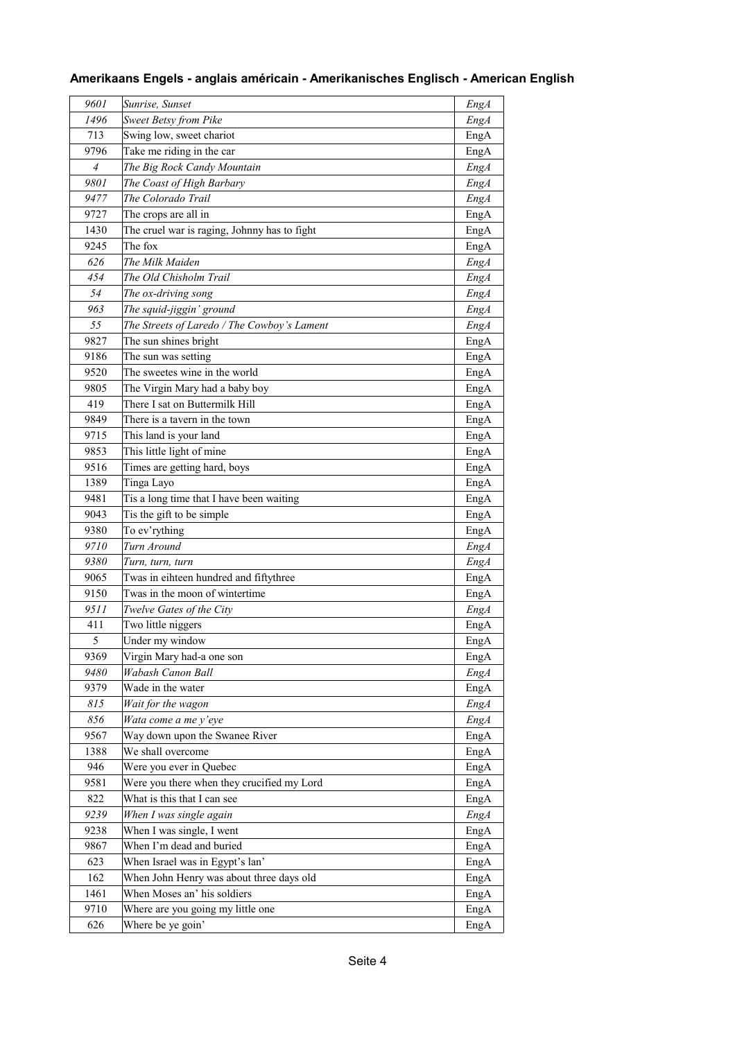| 9601 | Sunrise, Sunset                                            | EngA        |
|------|------------------------------------------------------------|-------------|
| 1496 | <b>Sweet Betsy from Pike</b>                               | <b>EngA</b> |
| 713  | Swing low, sweet chariot                                   | EngA        |
| 9796 | Take me riding in the car                                  | EngA        |
| 4    | The Big Rock Candy Mountain                                | <b>EngA</b> |
| 9801 | The Coast of High Barbary                                  | EngA        |
| 9477 | The Colorado Trail                                         | <b>EngA</b> |
| 9727 | The crops are all in                                       | EngA        |
| 1430 | The cruel war is raging, Johnny has to fight               | EngA        |
| 9245 | The fox                                                    | EngA        |
| 626  | The Milk Maiden                                            | <b>EngA</b> |
| 454  | The Old Chisholm Trail                                     | <b>EngA</b> |
| 54   | The ox-driving song                                        | <b>EngA</b> |
| 963  | The squid-jiggin' ground                                   | EngA        |
| 55   | The Streets of Laredo / The Cowboy's Lament                | <b>EngA</b> |
| 9827 | The sun shines bright                                      | EngA        |
| 9186 | The sun was setting                                        | EngA        |
| 9520 | The sweetes wine in the world                              | EngA        |
| 9805 | The Virgin Mary had a baby boy                             | EngA        |
| 419  | There I sat on Buttermilk Hill                             | EngA        |
| 9849 | There is a tavern in the town                              | EngA        |
| 9715 | This land is your land                                     | EngA        |
| 9853 | This little light of mine                                  | EngA        |
| 9516 | Times are getting hard, boys                               | EngA        |
| 1389 | Tinga Layo                                                 | EngA        |
| 9481 | Tis a long time that I have been waiting                   | EngA        |
| 9043 | Tis the gift to be simple                                  | EngA        |
| 9380 | To ev'rything                                              | EngA        |
| 9710 | Turn Around                                                | EngA        |
| 9380 |                                                            |             |
| 9065 | Turn, turn, turn<br>Twas in eihteen hundred and fiftythree | <b>EngA</b> |
| 9150 | Twas in the moon of wintertime                             | EngA        |
| 9511 | Twelve Gates of the City                                   | EngA        |
| 411  |                                                            | EngA        |
| 5    | Two little niggers<br>Under my window                      | EngA        |
|      |                                                            | EngA        |
| 9369 | Virgin Mary had-a one son<br>Wabash Canon Ball             | EngA        |
| 9480 |                                                            | <b>EngA</b> |
| 9379 | Wade in the water                                          | EngA        |
| 815  | Wait for the wagon                                         | <b>EngA</b> |
| 856  | Wata come a me y'eye                                       | <b>EngA</b> |
| 9567 | Way down upon the Swanee River                             | EngA        |
| 1388 | We shall overcome                                          | EngA        |
| 946  | Were you ever in Quebec                                    | EngA        |
| 9581 | Were you there when they crucified my Lord                 | EngA        |
| 822  | What is this that I can see                                | EngA        |
| 9239 | When I was single again                                    | <b>EngA</b> |
| 9238 | When I was single, I went                                  | EngA        |
| 9867 | When I'm dead and buried                                   | EngA        |
| 623  | When Israel was in Egypt's lan'                            | EngA        |
| 162  | When John Henry was about three days old                   | EngA        |
| 1461 | When Moses an' his soldiers                                | EngA        |
| 9710 | Where are you going my little one                          | EngA        |
| 626  | Where be ye goin'                                          | EngA        |